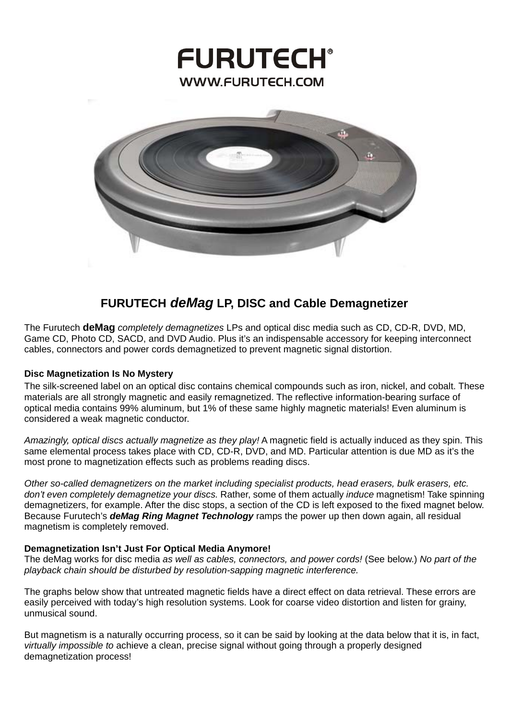# **FURUTECH® WWW.FURUTECH.COM**



# **FURUTECH** *deMag* **LP, DISC and Cable Demagnetizer**

The Furutech **deMag** *completely demagnetizes* LPs and optical disc media such as CD, CD-R, DVD, MD, Game CD, Photo CD, SACD, and DVD Audio. Plus it's an indispensable accessory for keeping interconnect cables, connectors and power cords demagnetized to prevent magnetic signal distortion.

#### **Disc Magnetization Is No Mystery**

The silk-screened label on an optical disc contains chemical compounds such as iron, nickel, and cobalt. These materials are all strongly magnetic and easily remagnetized. The reflective information-bearing surface of optical media contains 99% aluminum, but 1% of these same highly magnetic materials! Even aluminum is considered a weak magnetic conductor.

*Amazingly, optical discs actually magnetize as they play!* A magnetic field is actually induced as they spin. This same elemental process takes place with CD, CD-R, DVD, and MD. Particular attention is due MD as it's the most prone to magnetization effects such as problems reading discs.

*Other so-called demagnetizers on the market including specialist products, head erasers, bulk erasers, etc. don't even completely demagnetize your discs.* Rather, some of them actually *induce* magnetism! Take spinning demagnetizers, for example. After the disc stops, a section of the CD is left exposed to the fixed magnet below. Because Furutech's *deMag Ring Magnet Technology* ramps the power up then down again, all residual magnetism is completely removed.

#### **Demagnetization Isn't Just For Optical Media Anymore!**

The deMag works for disc media *as well as cables, connectors, and power cords!* (See below.) *No part of the playback chain should be disturbed by resolution-sapping magnetic interference.*

The graphs below show that untreated magnetic fields have a direct effect on data retrieval. These errors are easily perceived with today's high resolution systems. Look for coarse video distortion and listen for grainy, unmusical sound.

But magnetism is a naturally occurring process, so it can be said by looking at the data below that it is, in fact, *virtually impossible to* achieve a clean, precise signal without going through a properly designed demagnetization process!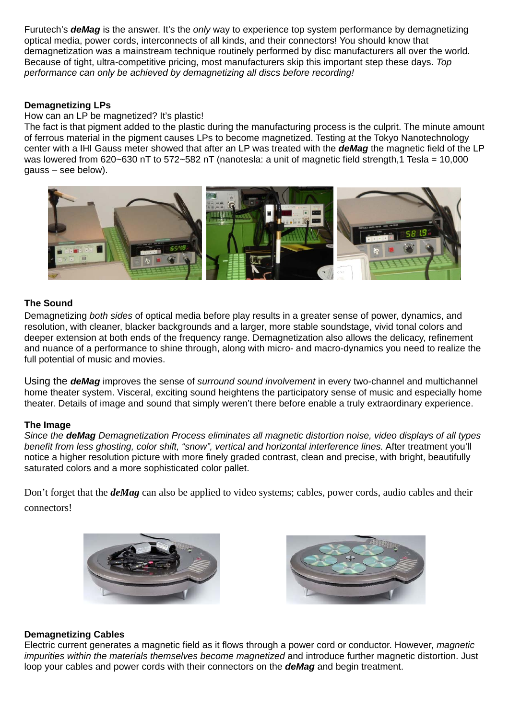Furutech's *deMag* is the answer. It's the *only* way to experience top system performance by demagnetizing optical media, power cords, interconnects of all kinds, and their connectors! You should know that demagnetization was a mainstream technique routinely performed by disc manufacturers all over the world. Because of tight, ultra-competitive pricing, most manufacturers skip this important step these days. *Top performance can only be achieved by demagnetizing all discs before recording!* 

# **Demagnetizing LPs**

How can an LP be magnetized? It's plastic!

The fact is that pigment added to the plastic during the manufacturing process is the culprit. The minute amount of ferrous material in the pigment causes LPs to become magnetized. Testing at the Tokyo Nanotechnology center with a IHI Gauss meter showed that after an LP was treated with the *deMag* the magnetic field of the LP was lowered from 620~630 nT to 572~582 nT (nanotesla: a unit of magnetic field strength,1 Tesla = 10,000 gauss – see below).



# **The Sound**

Demagnetizing *both sides* of optical media before play results in a greater sense of power, dynamics, and resolution, with cleaner, blacker backgrounds and a larger, more stable soundstage, vivid tonal colors and deeper extension at both ends of the frequency range. Demagnetization also allows the delicacy, refinement and nuance of a performance to shine through, along with micro- and macro-dynamics you need to realize the full potential of music and movies.

Using the *deMag* improves the sense of *surround sound involvement* in every two-channel and multichannel home theater system. Visceral, exciting sound heightens the participatory sense of music and especially home theater. Details of image and sound that simply weren't there before enable a truly extraordinary experience.

#### **The Image**

*Since the deMag Demagnetization Process eliminates all magnetic distortion noise, video displays of all types benefit from less ghosting, color shift, "snow", vertical and horizontal interference lines.* After treatment you'll notice a higher resolution picture with more finely graded contrast, clean and precise, with bright, beautifully saturated colors and a more sophisticated color pallet.

Don't forget that the *deMag* can also be applied to video systems; cables, power cords, audio cables and their connectors!





#### **Demagnetizing Cables**

Electric current generates a magnetic field as it flows through a power cord or conductor. However, *magnetic impurities within the materials themselves become magnetized* and introduce further magnetic distortion. Just loop your cables and power cords with their connectors on the *deMag* and begin treatment.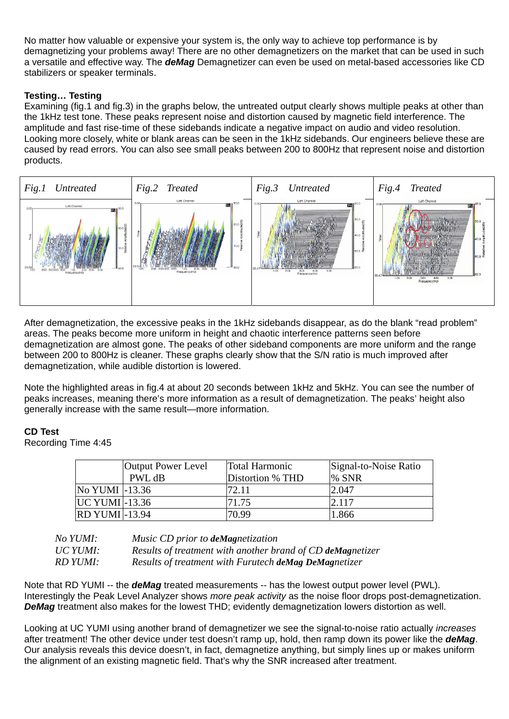No matter how valuable or expensive your system is, the only way to achieve top performance is by demagnetizing your problems away! There are no other demagnetizers on the market that can be used in such a versatile and effective way. The *deMag* Demagnetizer can even be used on metal-based accessories like CD stabilizers or speaker terminals.

# **Testing… Testing**

Examining (fig.1 and fig.3) in the graphs below, the untreated output clearly shows multiple peaks at other than the 1kHz test tone. These peaks represent noise and distortion caused by magnetic field interference. The amplitude and fast rise-time of these sidebands indicate a negative impact on audio and video resolution. Looking more closely, white or blank areas can be seen in the 1kHz sidebands. Our engineers believe these are caused by read errors. You can also see small peaks between 200 to 800Hz that represent noise and distortion products.



After demagnetization, the excessive peaks in the 1kHz sidebands disappear, as do the blank "read problem" areas. The peaks become more uniform in height and chaotic interference patterns seen before demagnetization are almost gone. The peaks of other sideband components are more uniform and the range between 200 to 800Hz is cleaner. These graphs clearly show that the S/N ratio is much improved after demagnetization, while audible distortion is lowered.

Note the highlighted areas in fig.4 at about 20 seconds between 1kHz and 5kHz. You can see the number of peaks increases, meaning there's more information as a result of demagnetization. The peaks' height also generally increase with the same result—more information.

#### **CD Test**

Recording Time 4:45

|                       | <b>Output Power Level</b> | <b>Total Harmonic</b> | Signal-to-Noise Ratio |
|-----------------------|---------------------------|-----------------------|-----------------------|
|                       | PWL dB                    | Distortion % THD      | % SNR                 |
| No YUMI -13.36        |                           |                       | 2.047                 |
| $UC$ YUMI $ -13.36$   |                           | 71.75                 | 2.117                 |
| <b>RD YUMI</b> -13.94 |                           | 70.99                 | 1.866                 |

| No YUMI:        | Music CD prior to deMagnetization                          |
|-----------------|------------------------------------------------------------|
| <b>UC YUMI:</b> | Results of treatment with another brand of CD deMagnetizer |
| RD YUMI:        | Results of treatment with Furutech deMag DeMagnetizer      |

Note that RD YUMI -- the *deMag* treated measurements -- has the lowest output power level (PWL). Interestingly the Peak Level Analyzer shows *more peak activity* as the noise floor drops post-demagnetization. *DeMag* treatment also makes for the lowest THD; evidently demagnetization lowers distortion as well.

Looking at UC YUMI using another brand of demagnetizer we see the signal-to-noise ratio actually *increases* after treatment! The other device under test doesn't ramp up, hold, then ramp down its power like the *deMag*. Our analysis reveals this device doesn't, in fact, demagnetize anything, but simply lines up or makes uniform the alignment of an existing magnetic field. That's why the SNR increased after treatment.